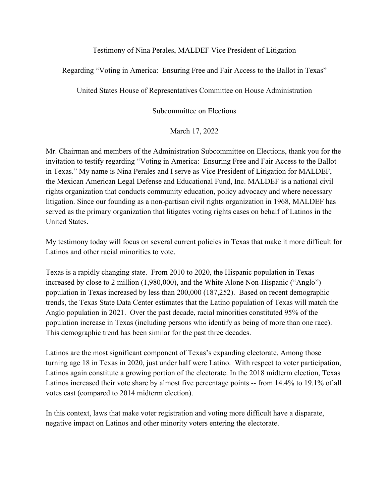## Testimony of Nina Perales, MALDEF Vice President of Litigation

Regarding "Voting in America: Ensuring Free and Fair Access to the Ballot in Texas"

United States House of Representatives Committee on House Administration

Subcommittee on Elections

March 17, 2022

Mr. Chairman and members of the Administration Subcommittee on Elections, thank you for the invitation to testify regarding "Voting in America: Ensuring Free and Fair Access to the Ballot in Texas." My name is Nina Perales and I serve as Vice President of Litigation for MALDEF, the Mexican American Legal Defense and Educational Fund, Inc. MALDEF is a national civil rights organization that conducts community education, policy advocacy and where necessary litigation. Since our founding as a non-partisan civil rights organization in 1968, MALDEF has served as the primary organization that litigates voting rights cases on behalf of Latinos in the United States.

My testimony today will focus on several current policies in Texas that make it more difficult for Latinos and other racial minorities to vote.

Texas is a rapidly changing state. From 2010 to 2020, the Hispanic population in Texas increased by close to 2 million (1,980,000), and the White Alone Non-Hispanic ("Anglo") population in Texas increased by less than 200,000 (187,252). Based on recent demographic trends, the Texas State Data Center estimates that the Latino population of Texas will match the Anglo population in 2021. Over the past decade, racial minorities constituted 95% of the population increase in Texas (including persons who identify as being of more than one race). This demographic trend has been similar for the past three decades.

Latinos are the most significant component of Texas's expanding electorate. Among those turning age 18 in Texas in 2020, just under half were Latino. With respect to voter participation, Latinos again constitute a growing portion of the electorate. In the 2018 midterm election, Texas Latinos increased their vote share by almost five percentage points -- from 14.4% to 19.1% of all votes cast (compared to 2014 midterm election).

In this context, laws that make voter registration and voting more difficult have a disparate, negative impact on Latinos and other minority voters entering the electorate.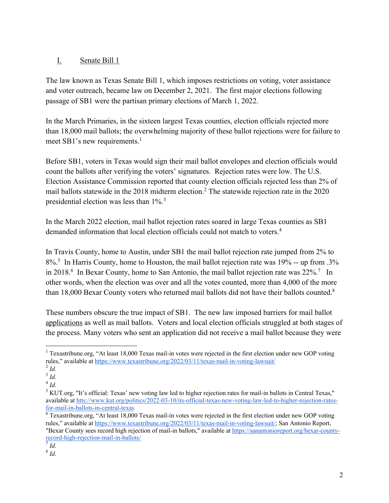# I. Senate Bill 1

The law known as Texas Senate Bill 1, which imposes restrictions on voting, voter assistance and voter outreach, became law on December 2, 2021. The first major elections following passage of SB1 were the partisan primary elections of March 1, 2022.

In the March Primaries, in the sixteen largest Texas counties, election officials rejected more than 18,000 mail ballots; the overwhelming majority of these ballot rejections were for failure to meet SB1's new requirements.<sup>1</sup>

Before SB1, voters in Texas would sign their mail ballot envelopes and election officials would count the ballots after verifying the voters' signatures. Rejection rates were low. The U.S. Election Assistance Commission reported that county election officials rejected less than 2% of mail ballots statewide in the 2018 midterm election.<sup>2</sup> The statewide rejection rate in the 2020 presidential election was less than 1%.<sup>3</sup>

In the March 2022 election, mail ballot rejection rates soared in large Texas counties as SB1 demanded information that local election officials could not match to voters.4

In Travis County, home to Austin, under SB1 the mail ballot rejection rate jumped from 2% to 8%.5 In Harris County, home to Houston, the mail ballot rejection rate was 19% -- up from .3% in 2018.<sup>6</sup> In Bexar County, home to San Antonio, the mail ballot rejection rate was 22%.<sup>7</sup> In other words, when the election was over and all the votes counted, more than 4,000 of the more than 18,000 Bexar County voters who returned mail ballots did not have their ballots counted.<sup>8</sup>

These numbers obscure the true impact of SB1. The new law imposed barriers for mail ballot applications as well as mail ballots. Voters and local election officials struggled at both stages of the process. Many voters who sent an application did not receive a mail ballot because they were

<sup>6</sup> Texastribune.org, "At least 18,000 Texas mail-in votes were rejected in the first election under new GOP voting rules," available at https://www.texastribune.org/2022/03/11/texas-mail-in-voting-lawsuit/; San Antonio Report, "Bexar County sees record high rejection of mail-in ballots," available at https://sanantonioreport.org/bexar-countyrecord-high-rejection-mail-in-ballots/

 $1$  Texastribune.org, "At least 18,000 Texas mail-in votes were rejected in the first election under new GOP voting rules," available at https://www.texastribune.org/2022/03/11/texas-mail-in-voting-lawsuit/

<sup>2</sup> *Id.*

<sup>3</sup> *Id.*

<sup>4</sup> *Id.*

 $<sup>5</sup> KUT.org$ , "It's official: Texas' new voting law led to higher rejection rates for mail-in ballots in Central Texas,"</sup> available at htts://www.kut.org/politics/2022-03-10/its-official-texas-new-voting-law-led-to-higher-rejection-ratesfor-mail-in-ballots-in-central-texas

<sup>7</sup> *Id.*

<sup>8</sup> *Id.*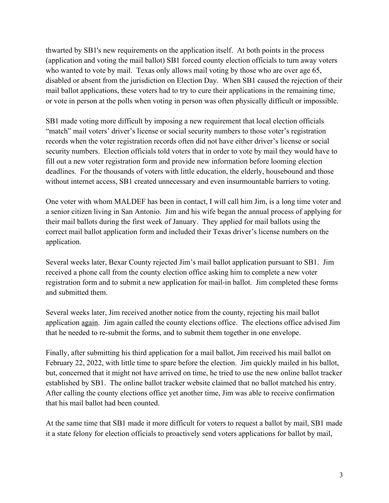thwarted by SB1's new requirements on the application itself. At both points in the process (application and voting the mail ballot) SB1 forced county election officials to turn away voters who wanted to vote by mail. Texas only allows mail voting by those who are over age 65, disabled or absent from the jurisdiction on Election Day. When SB1 caused the rejection of their mail ballot applications, these voters had to try to cure their applications in the remaining time, or vote in person at the polls when voting in person was often physically difficult or impossible.

SB1 made voting more difficult by imposing a new requirement that local election officials "match" mail voters' driver's license or social security numbers to those voter's registration records when the voter registration records often did not have either driver's license or social security numbers. Election officials told voters that in order to vote by mail they would have to fill out a new voter registration form and provide new information before looming election deadlines. For the thousands of voters with little education, the elderly, housebound and those without internet access, SB1 created unnecessary and even insurmountable barriers to voting.

One voter with whom MALDEF has been in contact, I will call him Jim, is a long time voter and a senior citizen living in San Antonio. Jim and his wife began the annual process of applying for their mail ballots during the first week of January. They applied for mail ballots using the correct mail ballot application form and included their Texas driver's license numbers on the application.

Several weeks later, Bexar County rejected Jim's mail ballot application pursuant to SB1. Jim received a phone call from the county election office asking him to complete a new voter registration form and to submit a new application for mail-in ballot. Jim completed these forms and submitted them.

Several weeks later, Jim received another notice from the county, rejecting his mail ballot application again. Jim again called the county elections office. The elections office advised Jim that he needed to re-submit the forms, and to submit them together in one envelope.

Finally, after submitting his third application for a mail ballot, Jim received his mail ballot on February 22, 2022, with little time to spare before the election. Jim quickly mailed in his ballot, but, concerned that it might not have arrived on time, he tried to use the new online ballot tracker established by SB1. The online ballot tracker website claimed that no ballot matched his entry. After calling the county elections office yet another time, Jim was able to receive confirmation that his mail ballot had been counted.

At the same time that SB1 made it more difficult for voters to request a ballot by mail, SB1 made it a state felony for election officials to proactively send voters applications for ballot by mail,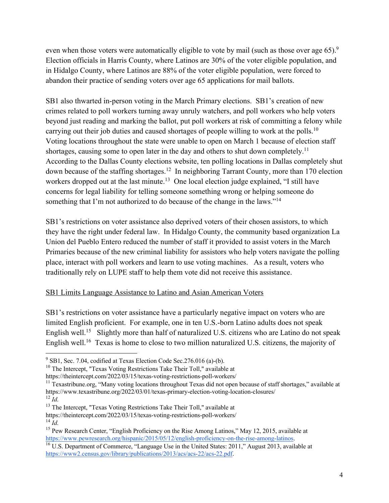even when those voters were automatically eligible to vote by mail (such as those over age 65).<sup>9</sup> Election officials in Harris County, where Latinos are 30% of the voter eligible population, and in Hidalgo County, where Latinos are 88% of the voter eligible population, were forced to abandon their practice of sending voters over age 65 applications for mail ballots.

SB1 also thwarted in-person voting in the March Primary elections. SB1's creation of new crimes related to poll workers turning away unruly watchers, and poll workers who help voters beyond just reading and marking the ballot, put poll workers at risk of committing a felony while carrying out their job duties and caused shortages of people willing to work at the polls.<sup>10</sup> Voting locations throughout the state were unable to open on March 1 because of election staff shortages, causing some to open later in the day and others to shut down completely.<sup>11</sup> According to the Dallas County elections website, ten polling locations in Dallas completely shut down because of the staffing shortages.12 In neighboring Tarrant County, more than 170 election workers dropped out at the last minute.<sup>13</sup> One local election judge explained, "I still have concerns for legal liability for telling someone something wrong or helping someone do something that I'm not authorized to do because of the change in the laws."<sup>14</sup>

SB1's restrictions on voter assistance also deprived voters of their chosen assistors, to which they have the right under federal law. In Hidalgo County, the community based organization La Union del Pueblo Entero reduced the number of staff it provided to assist voters in the March Primaries because of the new criminal liability for assistors who help voters navigate the polling place, interact with poll workers and learn to use voting machines. As a result, voters who traditionally rely on LUPE staff to help them vote did not receive this assistance.

## SB1 Limits Language Assistance to Latino and Asian American Voters

SB1's restrictions on voter assistance have a particularly negative impact on voters who are limited English proficient. For example, one in ten U.S.-born Latino adults does not speak English well.<sup>15</sup> Slightly more than half of naturalized U.S. citizens who are Latino do not speak English well.<sup>16</sup> Texas is home to close to two million naturalized U.S. citizens, the majority of

<sup>10</sup> The Intercept, "Texas Voting Restrictions Take Their Toll," available at

<sup>14</sup> *Id.* 

 $9^9$  SB1, Sec. 7.04, codified at Texas Election Code Sec. 276.016 (a)-(b).

https://theintercept.com/2022/03/15/texas-voting-restrictions-poll-workers/

 $11$  Texastribune.org, "Many voting locations throughout Texas did not open because of staff shortages," available at https://www.texastribune.org/2022/03/01/texas-primary-election-voting-location-closures/ <sup>12</sup> *Id.*

<sup>&</sup>lt;sup>13</sup> The Intercept, "Texas Voting Restrictions Take Their Toll," available at

https://theintercept.com/2022/03/15/texas-voting-restrictions-poll-workers/

<sup>&</sup>lt;sup>15</sup> Pew Research Center, "English Proficiency on the Rise Among Latinos," May 12, 2015, available at https://www.pewresearch.org/hispanic/2015/05/12/english-proficiency-on-the-rise-among-latinos.

<sup>&</sup>lt;sup>16</sup> U.S. Department of Commerce, "Language Use in the United States: 2011," August 2013, available at https://www2.census.gov/library/publications/2013/acs/acs-22/acs-22.pdf.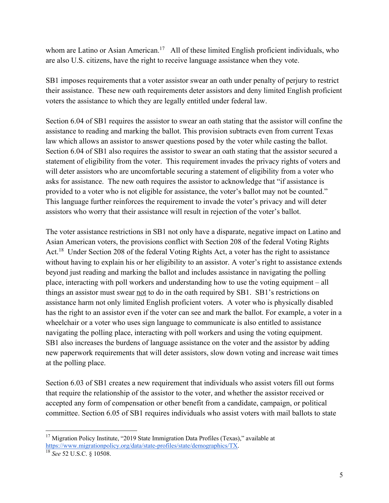whom are Latino or Asian American.<sup>17</sup> All of these limited English proficient individuals, who are also U.S. citizens, have the right to receive language assistance when they vote.

SB1 imposes requirements that a voter assistor swear an oath under penalty of perjury to restrict their assistance. These new oath requirements deter assistors and deny limited English proficient voters the assistance to which they are legally entitled under federal law.

Section 6.04 of SB1 requires the assistor to swear an oath stating that the assistor will confine the assistance to reading and marking the ballot. This provision subtracts even from current Texas law which allows an assistor to answer questions posed by the voter while casting the ballot. Section 6.04 of SB1 also requires the assistor to swear an oath stating that the assistor secured a statement of eligibility from the voter. This requirement invades the privacy rights of voters and will deter assistors who are uncomfortable securing a statement of eligibility from a voter who asks for assistance. The new oath requires the assistor to acknowledge that "if assistance is provided to a voter who is not eligible for assistance, the voter's ballot may not be counted." This language further reinforces the requirement to invade the voter's privacy and will deter assistors who worry that their assistance will result in rejection of the voter's ballot.

The voter assistance restrictions in SB1 not only have a disparate, negative impact on Latino and Asian American voters, the provisions conflict with Section 208 of the federal Voting Rights Act.<sup>18</sup> Under Section 208 of the federal Voting Rights Act, a voter has the right to assistance without having to explain his or her eligibility to an assistor. A voter's right to assistance extends beyond just reading and marking the ballot and includes assistance in navigating the polling place, interacting with poll workers and understanding how to use the voting equipment – all things an assistor must swear not to do in the oath required by SB1. SB1's restrictions on assistance harm not only limited English proficient voters. A voter who is physically disabled has the right to an assistor even if the voter can see and mark the ballot. For example, a voter in a wheelchair or a voter who uses sign language to communicate is also entitled to assistance navigating the polling place, interacting with poll workers and using the voting equipment. SB1 also increases the burdens of language assistance on the voter and the assistor by adding new paperwork requirements that will deter assistors, slow down voting and increase wait times at the polling place.

Section 6.03 of SB1 creates a new requirement that individuals who assist voters fill out forms that require the relationship of the assistor to the voter, and whether the assistor received or accepted any form of compensation or other benefit from a candidate, campaign, or political committee. Section 6.05 of SB1 requires individuals who assist voters with mail ballots to state

 $17$  Migration Policy Institute, "2019 State Immigration Data Profiles (Texas)," available at https://www.migrationpolicy.org/data/state-profiles/state/demographics/TX.

<sup>18</sup> *See* 52 U.S.C. § 10508.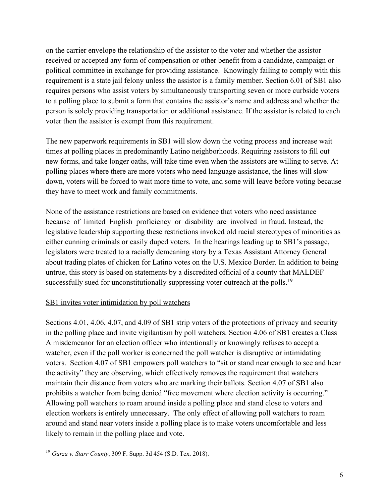on the carrier envelope the relationship of the assistor to the voter and whether the assistor received or accepted any form of compensation or other benefit from a candidate, campaign or political committee in exchange for providing assistance. Knowingly failing to comply with this requirement is a state jail felony unless the assistor is a family member. Section 6.01 of SB1 also requires persons who assist voters by simultaneously transporting seven or more curbside voters to a polling place to submit a form that contains the assistor's name and address and whether the person is solely providing transportation or additional assistance. If the assistor is related to each voter then the assistor is exempt from this requirement.

The new paperwork requirements in SB1 will slow down the voting process and increase wait times at polling places in predominantly Latino neighborhoods. Requiring assistors to fill out new forms, and take longer oaths, will take time even when the assistors are willing to serve. At polling places where there are more voters who need language assistance, the lines will slow down, voters will be forced to wait more time to vote, and some will leave before voting because they have to meet work and family commitments.

None of the assistance restrictions are based on evidence that voters who need assistance because of limited English proficiency or disability are involved in fraud. Instead, the legislative leadership supporting these restrictions invoked old racial stereotypes of minorities as either cunning criminals or easily duped voters. In the hearings leading up to SB1's passage, legislators were treated to a racially demeaning story by a Texas Assistant Attorney General about trading plates of chicken for Latino votes on the U.S. Mexico Border. In addition to being untrue, this story is based on statements by a discredited official of a county that MALDEF successfully sued for unconstitutionally suppressing voter outreach at the polls.<sup>19</sup>

## SB1 invites voter intimidation by poll watchers

Sections 4.01, 4.06, 4.07, and 4.09 of SB1 strip voters of the protections of privacy and security in the polling place and invite vigilantism by poll watchers. Section 4.06 of SB1 creates a Class A misdemeanor for an election officer who intentionally or knowingly refuses to accept a watcher, even if the poll worker is concerned the poll watcher is disruptive or intimidating voters. Section 4.07 of SB1 empowers poll watchers to "sit or stand near enough to see and hear the activity" they are observing, which effectively removes the requirement that watchers maintain their distance from voters who are marking their ballots. Section 4.07 of SB1 also prohibits a watcher from being denied "free movement where election activity is occurring." Allowing poll watchers to roam around inside a polling place and stand close to voters and election workers is entirely unnecessary. The only effect of allowing poll watchers to roam around and stand near voters inside a polling place is to make voters uncomfortable and less likely to remain in the polling place and vote.

<sup>19</sup> *Garza v. Starr County*, 309 F. Supp. 3d 454 (S.D. Tex. 2018).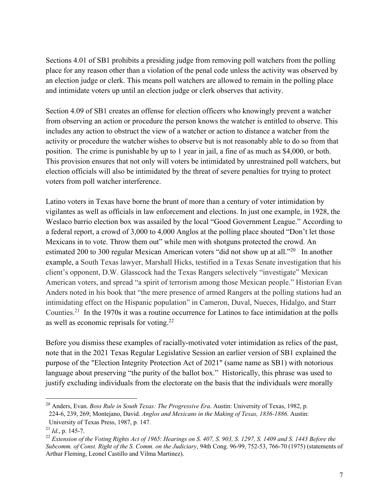Sections 4.01 of SB1 prohibits a presiding judge from removing poll watchers from the polling place for any reason other than a violation of the penal code unless the activity was observed by an election judge or clerk. This means poll watchers are allowed to remain in the polling place and intimidate voters up until an election judge or clerk observes that activity.

Section 4.09 of SB1 creates an offense for election officers who knowingly prevent a watcher from observing an action or procedure the person knows the watcher is entitled to observe. This includes any action to obstruct the view of a watcher or action to distance a watcher from the activity or procedure the watcher wishes to observe but is not reasonably able to do so from that position. The crime is punishable by up to 1 year in jail, a fine of as much as \$4,000, or both. This provision ensures that not only will voters be intimidated by unrestrained poll watchers, but election officials will also be intimidated by the threat of severe penalties for trying to protect voters from poll watcher interference.

Latino voters in Texas have borne the brunt of more than a century of voter intimidation by vigilantes as well as officials in law enforcement and elections. In just one example, in 1928, the Weslaco barrio election box was assailed by the local "Good Government League." According to a federal report, a crowd of 3,000 to 4,000 Anglos at the polling place shouted "Don't let those Mexicans in to vote. Throw them out" while men with shotguns protected the crowd. An estimated 200 to 300 regular Mexican American voters "did not show up at all."<sup>20</sup> In another example, a South Texas lawyer, Marshall Hicks, testified in a Texas Senate investigation that his client's opponent, D.W. Glasscock had the Texas Rangers selectively "investigate" Mexican American voters, and spread "a spirit of terrorism among those Mexican people." Historian Evan Anders noted in his book that "the mere presence of armed Rangers at the polling stations had an intimidating effect on the Hispanic population" in Cameron, Duval, Nueces, Hidalgo, and Starr Counties.21 In the 1970s it was a routine occurrence for Latinos to face intimidation at the polls as well as economic reprisals for voting.22

Before you dismiss these examples of racially-motivated voter intimidation as relics of the past, note that in the 2021 Texas Regular Legislative Session an earlier version of SB1 explained the purpose of the "Election Integrity Protection Act of 2021" (same name as SB1) with notorious language about preserving "the purity of the ballot box." Historically, this phrase was used to justify excluding individuals from the electorate on the basis that the individuals were morally

<sup>20</sup> Anders, Evan. *Boss Rule in South Texas: The Progressive Era*. Austin: University of Texas, 1982, p. 224-6, 239, 269; Montejano, David. *Anglos and Mexicans in the Making of Texas, 1836-1886*. Austin:

University of Texas Press, 1987, p. 147.

 $^{21}$  *Id.*, p. 145-7.

<sup>22</sup> *Extension of the Voting Rights Act of 1965*: *Hearings on S. 407, S. 903, S. 1297, S. 1409 and S. 1443 Before the Subcomm. of Const. Right of the S. Comm. on the Judiciary*, 94th Cong. 96-99, 752-53, 766-70 (1975) (statements of Arthur Fleming, Leonel Castillo and Vilma Martinez).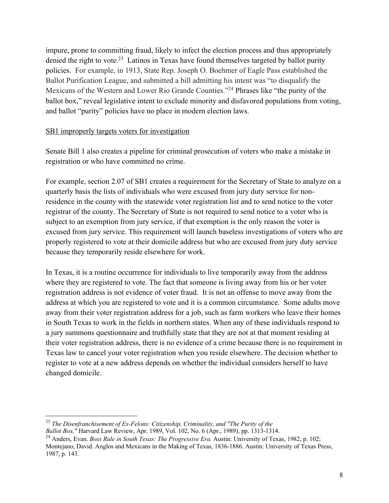impure, prone to committing fraud, likely to infect the election process and thus appropriately denied the right to vote.<sup>23</sup> Latinos in Texas have found themselves targeted by ballot purity policies. For example, in 1913, State Rep. Joseph O. Boehmer of Eagle Pass established the Ballot Purification League, and submitted a bill admitting his intent was "to disqualify the Mexicans of the Western and Lower Rio Grande Counties."24 Phrases like "the purity of the ballot box," reveal legislative intent to exclude minority and disfavored populations from voting, and ballot "purity" policies have no place in modern election laws.

#### SB1 improperly targets voters for investigation

Senate Bill 1 also creates a pipeline for criminal prosecution of voters who make a mistake in registration or who have committed no crime.

For example, section 2.07 of SB1 creates a requirement for the Secretary of State to analyze on a quarterly basis the lists of individuals who were excused from jury duty service for nonresidence in the county with the statewide voter registration list and to send notice to the voter registrar of the county. The Secretary of State is not required to send notice to a voter who is subject to an exemption from jury service, if that exemption is the only reason the voter is excused from jury service. This requirement will launch baseless investigations of voters who are properly registered to vote at their domicile address but who are excused from jury duty service because they temporarily reside elsewhere for work.

In Texas, it is a routine occurrence for individuals to live temporarily away from the address where they are registered to vote. The fact that someone is living away from his or her voter registration address is not evidence of voter fraud. It is not an offense to move away from the address at which you are registered to vote and it is a common circumstance. Some adults move away from their voter registration address for a job, such as farm workers who leave their homes in South Texas to work in the fields in northern states. When any of these individuals respond to a jury summons questionnaire and truthfully state that they are not at that moment residing at their voter registration address, there is no evidence of a crime because there is no requirement in Texas law to cancel your voter registration when you reside elsewhere. The decision whether to register to vote at a new address depends on whether the individual considers herself to have changed domicile.

<sup>23</sup> *The Disenfranchisement of Ex-Felons: Citizenship, Criminality, and "The Purity of the*

*Ballot Box,"* Harvard Law Review, Apr. 1989, Vol. 102, No. 6 (Apr., 1989), pp. 1313-1314.

<sup>24</sup> Anders, Evan. *Boss Rule in South Texas: The Progressive Era.* Austin: University of Texas, 1982, p. 102; Montejano, David. Anglos and Mexicans in the Making of Texas, 1836-1886. Austin: University of Texas Press, 1987, p. 143.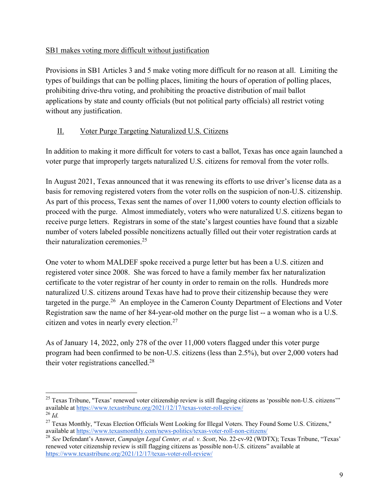## SB1 makes voting more difficult without justification

Provisions in SB1 Articles 3 and 5 make voting more difficult for no reason at all. Limiting the types of buildings that can be polling places, limiting the hours of operation of polling places, prohibiting drive-thru voting, and prohibiting the proactive distribution of mail ballot applications by state and county officials (but not political party officials) all restrict voting without any justification.

# II. Voter Purge Targeting Naturalized U.S. Citizens

In addition to making it more difficult for voters to cast a ballot, Texas has once again launched a voter purge that improperly targets naturalized U.S. citizens for removal from the voter rolls.

In August 2021, Texas announced that it was renewing its efforts to use driver's license data as a basis for removing registered voters from the voter rolls on the suspicion of non-U.S. citizenship. As part of this process, Texas sent the names of over 11,000 voters to county election officials to proceed with the purge. Almost immediately, voters who were naturalized U.S. citizens began to receive purge letters. Registrars in some of the state's largest counties have found that a sizable number of voters labeled possible noncitizens actually filled out their voter registration cards at their naturalization ceremonies.25

One voter to whom MALDEF spoke received a purge letter but has been a U.S. citizen and registered voter since 2008. She was forced to have a family member fax her naturalization certificate to the voter registrar of her county in order to remain on the rolls. Hundreds more naturalized U.S. citizens around Texas have had to prove their citizenship because they were targeted in the purge.<sup>26</sup> An employee in the Cameron County Department of Elections and Voter Registration saw the name of her 84-year-old mother on the purge list -- a woman who is a U.S. citizen and votes in nearly every election.27

As of January 14, 2022, only 278 of the over 11,000 voters flagged under this voter purge program had been confirmed to be non-U.S. citizens (less than 2.5%), but over 2,000 voters had their voter registrations cancelled.<sup>28</sup>

<sup>&</sup>lt;sup>25</sup> Texas Tribune, "Texas' renewed voter citizenship review is still flagging citizens as 'possible non-U.S. citizens'" available at https://www.texastribune.org/2021/12/17/texas-voter-roll-review/

<sup>26</sup> *Id.* 

<sup>&</sup>lt;sup>27</sup> Texas Monthly, "Texas Election Officials Went Looking for Illegal Voters. They Found Some U.S. Citizens," available at https://www.texasmonthly.com/news-politics/texas-voter-roll-non-citizens/

<sup>28</sup> *See* Defendant's Answer, *Campaign Legal Center, et al. v. Scott*, No. 22-cv-92 (WDTX); Texas Tribune, "Texas' renewed voter citizenship review is still flagging citizens as 'possible non-U.S. citizens" available at https://www.texastribune.org/2021/12/17/texas-voter-roll-review/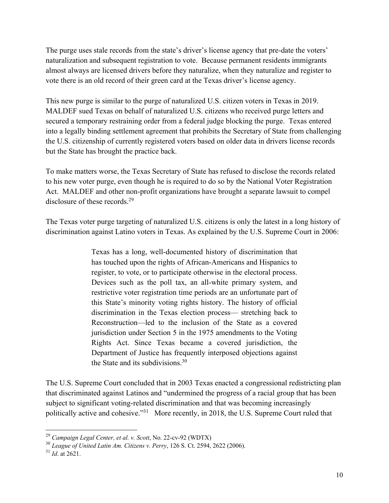The purge uses stale records from the state's driver's license agency that pre-date the voters' naturalization and subsequent registration to vote. Because permanent residents immigrants almost always are licensed drivers before they naturalize, when they naturalize and register to vote there is an old record of their green card at the Texas driver's license agency.

This new purge is similar to the purge of naturalized U.S. citizen voters in Texas in 2019. MALDEF sued Texas on behalf of naturalized U.S. citizens who received purge letters and secured a temporary restraining order from a federal judge blocking the purge. Texas entered into a legally binding settlement agreement that prohibits the Secretary of State from challenging the U.S. citizenship of currently registered voters based on older data in drivers license records but the State has brought the practice back.

To make matters worse, the Texas Secretary of State has refused to disclose the records related to his new voter purge, even though he is required to do so by the National Voter Registration Act. MALDEF and other non-profit organizations have brought a separate lawsuit to compel disclosure of these records.<sup>29</sup>

The Texas voter purge targeting of naturalized U.S. citizens is only the latest in a long history of discrimination against Latino voters in Texas. As explained by the U.S. Supreme Court in 2006:

> Texas has a long, well-documented history of discrimination that has touched upon the rights of African-Americans and Hispanics to register, to vote, or to participate otherwise in the electoral process. Devices such as the poll tax, an all-white primary system, and restrictive voter registration time periods are an unfortunate part of this State's minority voting rights history. The history of official discrimination in the Texas election process— stretching back to Reconstruction—led to the inclusion of the State as a covered jurisdiction under Section 5 in the 1975 amendments to the Voting Rights Act. Since Texas became a covered jurisdiction, the Department of Justice has frequently interposed objections against the State and its subdivisions.30

The U.S. Supreme Court concluded that in 2003 Texas enacted a congressional redistricting plan that discriminated against Latinos and "undermined the progress of a racial group that has been subject to significant voting-related discrimination and that was becoming increasingly politically active and cohesive."<sup>31</sup> More recently, in 2018, the U.S. Supreme Court ruled that

<sup>29</sup> *Campaign Legal Center, et al. v. Scott*, No. 22-cv-92 (WDTX)

<sup>30</sup> *League of United Latin Am. Citizens v. Perry*, 126 S. Ct. 2594, 2622 (2006).

<sup>31</sup> *Id*. at 2621.